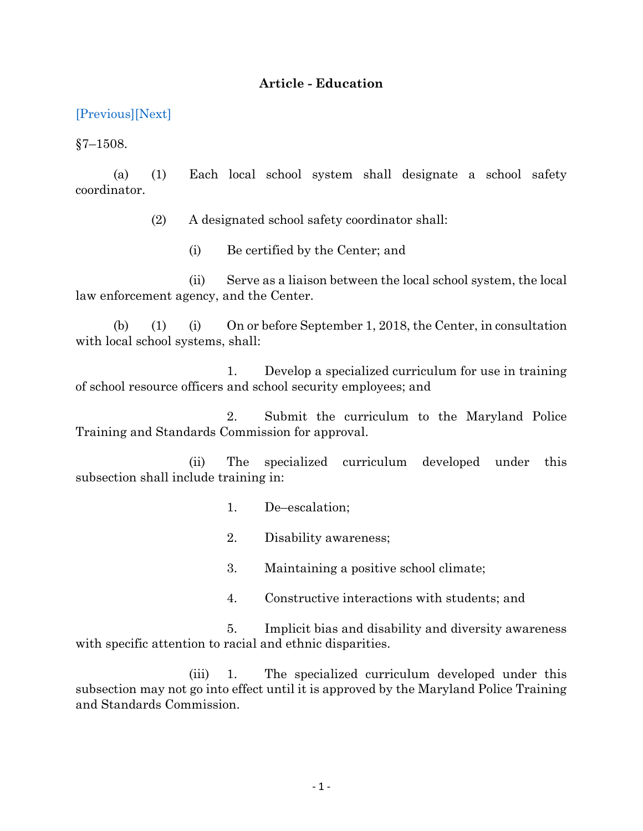## **Article - Education**

[\[Previous\]](http://mgaleg.maryland.gov/2021RS/Statute_Web/ged/7-1507.pdf)[\[Next\]](http://mgaleg.maryland.gov/2021RS/Statute_Web/ged/7-1509.pdf)

 $§7 - 1508.$ 

(a) (1) Each local school system shall designate a school safety coordinator.

(2) A designated school safety coordinator shall:

(i) Be certified by the Center; and

(ii) Serve as a liaison between the local school system, the local law enforcement agency, and the Center.

(b) (1) (i) On or before September 1, 2018, the Center, in consultation with local school systems, shall:

1. Develop a specialized curriculum for use in training of school resource officers and school security employees; and

2. Submit the curriculum to the Maryland Police Training and Standards Commission for approval.

(ii) The specialized curriculum developed under this subsection shall include training in:

1. De–escalation;

2. Disability awareness;

3. Maintaining a positive school climate;

4. Constructive interactions with students; and

5. Implicit bias and disability and diversity awareness with specific attention to racial and ethnic disparities.

(iii) 1. The specialized curriculum developed under this subsection may not go into effect until it is approved by the Maryland Police Training and Standards Commission.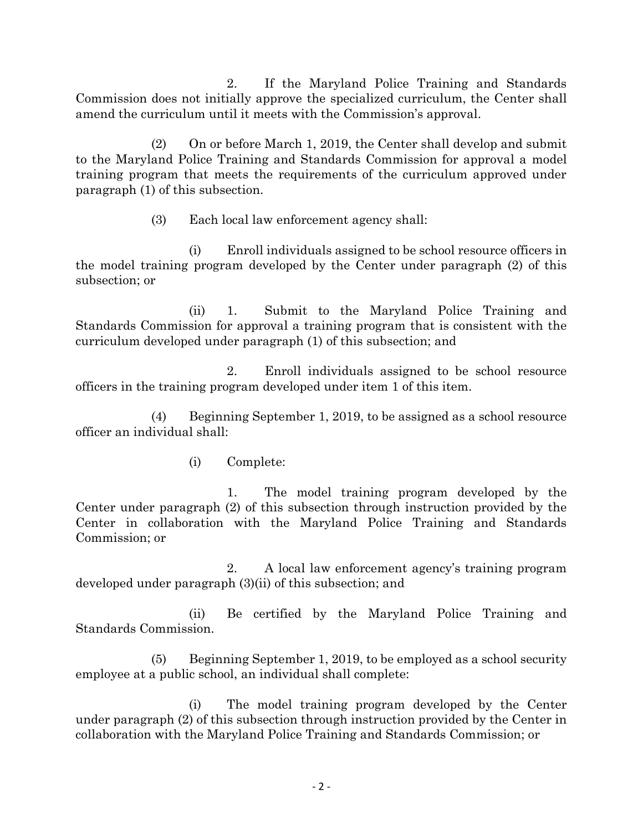2. If the Maryland Police Training and Standards Commission does not initially approve the specialized curriculum, the Center shall amend the curriculum until it meets with the Commission's approval.

(2) On or before March 1, 2019, the Center shall develop and submit to the Maryland Police Training and Standards Commission for approval a model training program that meets the requirements of the curriculum approved under paragraph (1) of this subsection.

(3) Each local law enforcement agency shall:

(i) Enroll individuals assigned to be school resource officers in the model training program developed by the Center under paragraph (2) of this subsection; or

(ii) 1. Submit to the Maryland Police Training and Standards Commission for approval a training program that is consistent with the curriculum developed under paragraph (1) of this subsection; and

2. Enroll individuals assigned to be school resource officers in the training program developed under item 1 of this item.

(4) Beginning September 1, 2019, to be assigned as a school resource officer an individual shall:

(i) Complete:

1. The model training program developed by the Center under paragraph (2) of this subsection through instruction provided by the Center in collaboration with the Maryland Police Training and Standards Commission; or

2. A local law enforcement agency's training program developed under paragraph (3)(ii) of this subsection; and

(ii) Be certified by the Maryland Police Training and Standards Commission.

(5) Beginning September 1, 2019, to be employed as a school security employee at a public school, an individual shall complete:

(i) The model training program developed by the Center under paragraph (2) of this subsection through instruction provided by the Center in collaboration with the Maryland Police Training and Standards Commission; or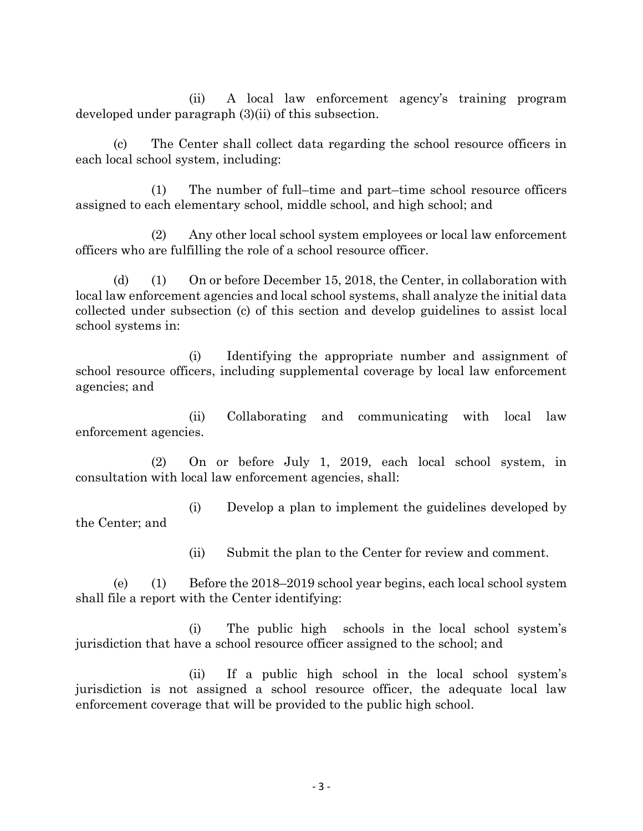(ii) A local law enforcement agency's training program developed under paragraph (3)(ii) of this subsection.

(c) The Center shall collect data regarding the school resource officers in each local school system, including:

(1) The number of full–time and part–time school resource officers assigned to each elementary school, middle school, and high school; and

(2) Any other local school system employees or local law enforcement officers who are fulfilling the role of a school resource officer.

(d) (1) On or before December 15, 2018, the Center, in collaboration with local law enforcement agencies and local school systems, shall analyze the initial data collected under subsection (c) of this section and develop guidelines to assist local school systems in:

(i) Identifying the appropriate number and assignment of school resource officers, including supplemental coverage by local law enforcement agencies; and

(ii) Collaborating and communicating with local law enforcement agencies.

(2) On or before July 1, 2019, each local school system, in consultation with local law enforcement agencies, shall:

(i) Develop a plan to implement the guidelines developed by the Center; and

(ii) Submit the plan to the Center for review and comment.

(e) (1) Before the 2018–2019 school year begins, each local school system shall file a report with the Center identifying:

(i) The public high schools in the local school system's jurisdiction that have a school resource officer assigned to the school; and

(ii) If a public high school in the local school system's jurisdiction is not assigned a school resource officer, the adequate local law enforcement coverage that will be provided to the public high school.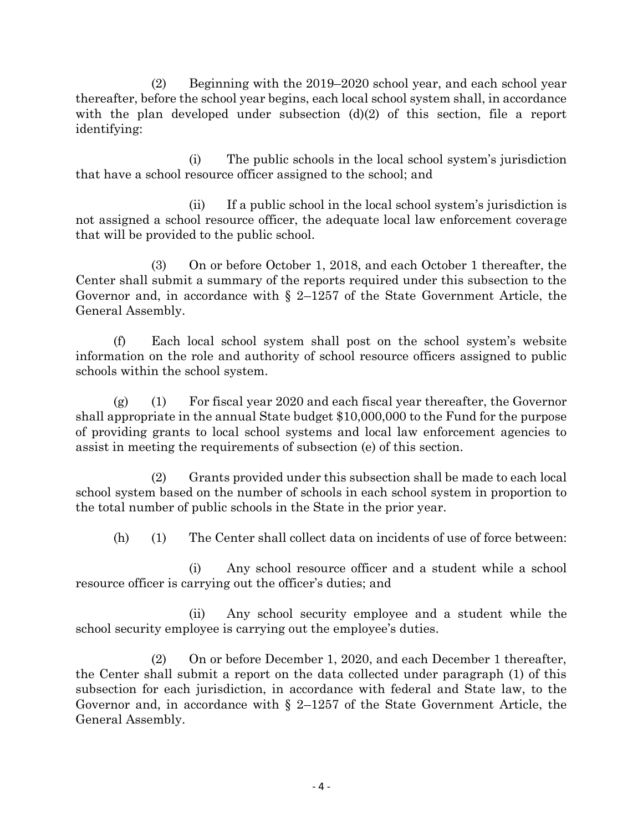(2) Beginning with the 2019–2020 school year, and each school year thereafter, before the school year begins, each local school system shall, in accordance with the plan developed under subsection  $(d)(2)$  of this section, file a report identifying:

(i) The public schools in the local school system's jurisdiction that have a school resource officer assigned to the school; and

(ii) If a public school in the local school system's jurisdiction is not assigned a school resource officer, the adequate local law enforcement coverage that will be provided to the public school.

(3) On or before October 1, 2018, and each October 1 thereafter, the Center shall submit a summary of the reports required under this subsection to the Governor and, in accordance with § 2–1257 of the State Government Article, the General Assembly.

(f) Each local school system shall post on the school system's website information on the role and authority of school resource officers assigned to public schools within the school system.

(g) (1) For fiscal year 2020 and each fiscal year thereafter, the Governor shall appropriate in the annual State budget \$10,000,000 to the Fund for the purpose of providing grants to local school systems and local law enforcement agencies to assist in meeting the requirements of subsection (e) of this section.

(2) Grants provided under this subsection shall be made to each local school system based on the number of schools in each school system in proportion to the total number of public schools in the State in the prior year.

(h) (1) The Center shall collect data on incidents of use of force between:

(i) Any school resource officer and a student while a school resource officer is carrying out the officer's duties; and

(ii) Any school security employee and a student while the school security employee is carrying out the employee's duties.

(2) On or before December 1, 2020, and each December 1 thereafter, the Center shall submit a report on the data collected under paragraph (1) of this subsection for each jurisdiction, in accordance with federal and State law, to the Governor and, in accordance with § 2–1257 of the State Government Article, the General Assembly.